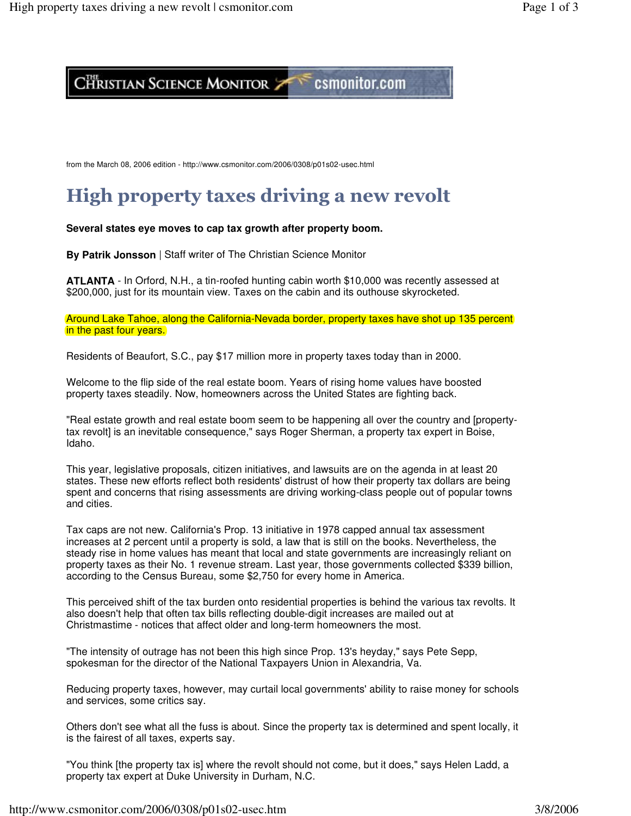## CHRISTIAN SCIENCE MONITOR 7

## csmonitor.com

from the March 08, 2006 edition - http://www.csmonitor.com/2006/0308/p01s02-usec.html

# High property taxes driving a new revolt

**Several states eye moves to cap tax growth after property boom.**

**By Patrik Jonsson** | Staff writer of The Christian Science Monitor

**ATLANTA** - In Orford, N.H., a tin-roofed hunting cabin worth \$10,000 was recently assessed at \$200,000, just for its mountain view. Taxes on the cabin and its outhouse skyrocketed.

Around Lake Tahoe, along the California-Nevada border, property taxes have shot up 135 percent in the past four years.

Residents of Beaufort, S.C., pay \$17 million more in property taxes today than in 2000.

Welcome to the flip side of the real estate boom. Years of rising home values have boosted property taxes steadily. Now, homeowners across the United States are fighting back.

"Real estate growth and real estate boom seem to be happening all over the country and [propertytax revolt] is an inevitable consequence," says Roger Sherman, a property tax expert in Boise, Idaho.

This year, legislative proposals, citizen initiatives, and lawsuits are on the agenda in at least 20 states. These new efforts reflect both residents' distrust of how their property tax dollars are being spent and concerns that rising assessments are driving working-class people out of popular towns and cities.

Tax caps are not new. California's Prop. 13 initiative in 1978 capped annual tax assessment increases at 2 percent until a property is sold, a law that is still on the books. Nevertheless, the steady rise in home values has meant that local and state governments are increasingly reliant on property taxes as their No. 1 revenue stream. Last year, those governments collected \$339 billion, according to the Census Bureau, some \$2,750 for every home in America.

This perceived shift of the tax burden onto residential properties is behind the various tax revolts. It also doesn't help that often tax bills reflecting double-digit increases are mailed out at Christmastime - notices that affect older and long-term homeowners the most.

"The intensity of outrage has not been this high since Prop. 13's heyday," says Pete Sepp, spokesman for the director of the National Taxpayers Union in Alexandria, Va.

Reducing property taxes, however, may curtail local governments' ability to raise money for schools and services, some critics say.

Others don't see what all the fuss is about. Since the property tax is determined and spent locally, it is the fairest of all taxes, experts say.

"You think [the property tax is] where the revolt should not come, but it does," says Helen Ladd, a property tax expert at Duke University in Durham, N.C.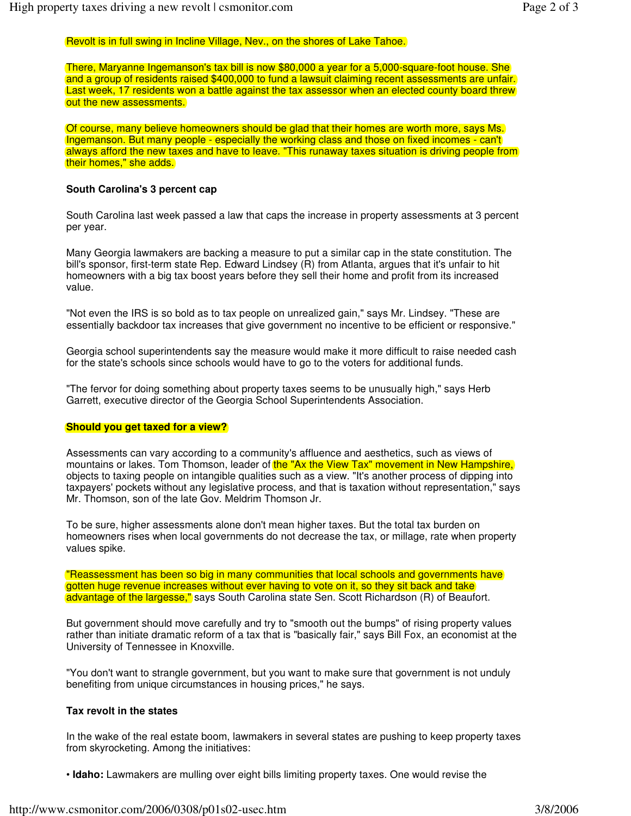### Revolt is in full swing in Incline Village, Nev., on the shores of Lake Tahoe.

There, Maryanne Ingemanson's tax bill is now \$80,000 a year for a 5,000-square-foot house. She and a group of residents raised \$400,000 to fund a lawsuit claiming recent assessments are unfair. Last week, 17 residents won a battle against the tax assessor when an elected county board threw out the new assessments.

Of course, many believe homeowners should be glad that their homes are worth more, says Ms. Ingemanson. But many people - especially the working class and those on fixed incomes - can't always afford the new taxes and have to leave. "This runaway taxes situation is driving people from their homes," she adds.

#### **South Carolina's 3 percent cap**

South Carolina last week passed a law that caps the increase in property assessments at 3 percent per year.

Many Georgia lawmakers are backing a measure to put a similar cap in the state constitution. The bill's sponsor, first-term state Rep. Edward Lindsey (R) from Atlanta, argues that it's unfair to hit homeowners with a big tax boost years before they sell their home and profit from its increased value.

"Not even the IRS is so bold as to tax people on unrealized gain," says Mr. Lindsey. "These are essentially backdoor tax increases that give government no incentive to be efficient or responsive."

Georgia school superintendents say the measure would make it more difficult to raise needed cash for the state's schools since schools would have to go to the voters for additional funds.

"The fervor for doing something about property taxes seems to be unusually high," says Herb Garrett, executive director of the Georgia School Superintendents Association.

#### **Should you get taxed for a view?**

Assessments can vary according to a community's affluence and aesthetics, such as views of mountains or lakes. Tom Thomson, leader of the "Ax the View Tax" movement in New Hampshire, objects to taxing people on intangible qualities such as a view. "It's another process of dipping into taxpayers' pockets without any legislative process, and that is taxation without representation," says Mr. Thomson, son of the late Gov. Meldrim Thomson Jr.

To be sure, higher assessments alone don't mean higher taxes. But the total tax burden on homeowners rises when local governments do not decrease the tax, or millage, rate when property values spike.

"Reassessment has been so big in many communities that local schools and governments have gotten huge revenue increases without ever having to vote on it, so they sit back and take advantage of the largesse," says South Carolina state Sen. Scott Richardson (R) of Beaufort.

But government should move carefully and try to "smooth out the bumps" of rising property values rather than initiate dramatic reform of a tax that is "basically fair," says Bill Fox, an economist at the University of Tennessee in Knoxville.

"You don't want to strangle government, but you want to make sure that government is not unduly benefiting from unique circumstances in housing prices," he says.

#### **Tax revolt in the states**

In the wake of the real estate boom, lawmakers in several states are pushing to keep property taxes from skyrocketing. Among the initiatives:

• **Idaho:** Lawmakers are mulling over eight bills limiting property taxes. One would revise the